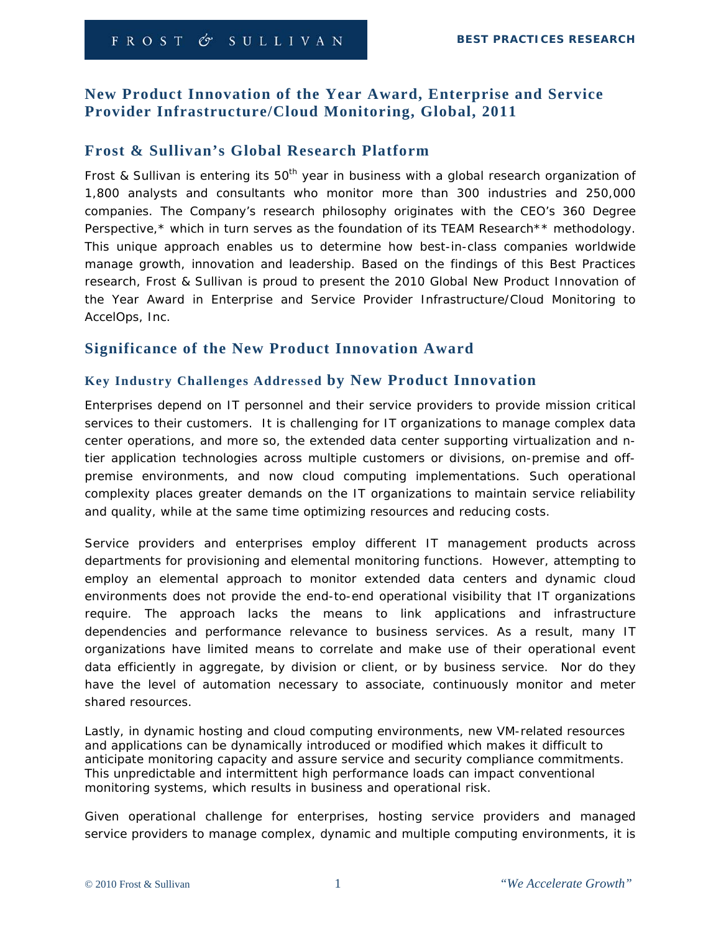# **New Product Innovation of the Year Award, Enterprise and Service Provider Infrastructure/Cloud Monitoring, Global, 2011**

# **Frost & Sullivan's Global Research Platform**

Frost & Sullivan is entering its  $50<sup>th</sup>$  year in business with a global research organization of 1,800 analysts and consultants who monitor more than 300 industries and 250,000 companies. The Company's research philosophy originates with the CEO's 360 Degree Perspective,\* which in turn serves as the foundation of its TEAM Research\*\* methodology. This unique approach enables us to determine how best-in-class companies worldwide manage growth, innovation and leadership. Based on the findings of this Best Practices research, Frost & Sullivan is proud to present the 2010 Global New Product Innovation of the Year Award in Enterprise and Service Provider Infrastructure/Cloud Monitoring to AccelOps, Inc.

## **Significance of the New Product Innovation Award**

### **Key Industry Challenges Addressed by New Product Innovation**

Enterprises depend on IT personnel and their service providers to provide mission critical services to their customers. It is challenging for IT organizations to manage complex data center operations, and more so, the extended data center supporting virtualization and ntier application technologies across multiple customers or divisions, on-premise and offpremise environments, and now cloud computing implementations. Such operational complexity places greater demands on the IT organizations to maintain service reliability and quality, while at the same time optimizing resources and reducing costs.

Service providers and enterprises employ different IT management products across departments for provisioning and elemental monitoring functions. However, attempting to employ an elemental approach to monitor extended data centers and dynamic cloud environments does not provide the end-to-end operational visibility that IT organizations require. The approach lacks the means to link applications and infrastructure dependencies and performance relevance to business services. As a result, many IT organizations have limited means to correlate and make use of their operational event data efficiently in aggregate, by division or client, or by business service. Nor do they have the level of automation necessary to associate, continuously monitor and meter shared resources.

Lastly, in dynamic hosting and cloud computing environments, new VM-related resources and applications can be dynamically introduced or modified which makes it difficult to anticipate monitoring capacity and assure service and security compliance commitments. This unpredictable and intermittent high performance loads can impact conventional monitoring systems, which results in business and operational risk.

Given operational challenge for enterprises, hosting service providers and managed service providers to manage complex, dynamic and multiple computing environments, it is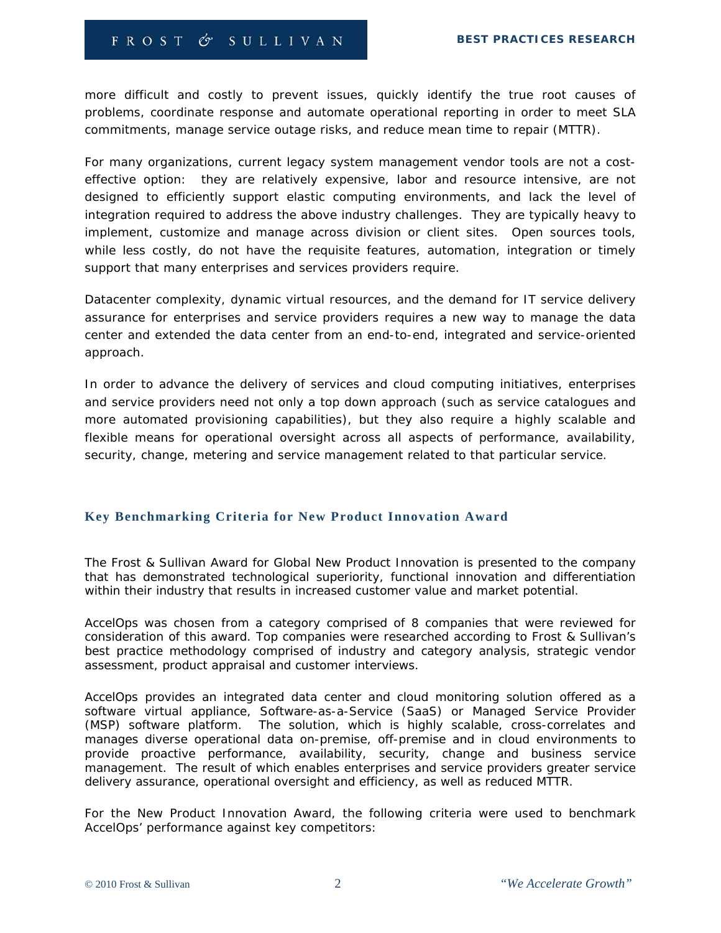more difficult and costly to prevent issues, quickly identify the true root causes of problems, coordinate response and automate operational reporting in order to meet SLA commitments, manage service outage risks, and reduce mean time to repair (MTTR).

For many organizations, current legacy system management vendor tools are not a costeffective option: they are relatively expensive, labor and resource intensive, are not designed to efficiently support elastic computing environments, and lack the level of integration required to address the above industry challenges. They are typically heavy to implement, customize and manage across division or client sites. Open sources tools, while less costly, do not have the requisite features, automation, integration or timely support that many enterprises and services providers require.

Datacenter complexity, dynamic virtual resources, and the demand for IT service delivery assurance for enterprises and service providers requires a new way to manage the data center and extended the data center from an end-to-end, integrated and service-oriented approach.

In order to advance the delivery of services and cloud computing initiatives, enterprises and service providers need not only a top down approach (such as service catalogues and more automated provisioning capabilities), but they also require a highly scalable and flexible means for operational oversight across all aspects of performance, availability, security, change, metering and service management related to that particular service.

#### **Key Benchmarking Criteria for New Product Innovation Award**

The Frost & Sullivan Award for Global New Product Innovation is presented to the company that has demonstrated technological superiority, functional innovation and differentiation within their industry that results in increased customer value and market potential.

AccelOps was chosen from a category comprised of 8 companies that were reviewed for consideration of this award. Top companies were researched according to Frost & Sullivan's best practice methodology comprised of industry and category analysis, strategic vendor assessment, product appraisal and customer interviews.

AccelOps provides an integrated data center and cloud monitoring solution offered as a software virtual appliance, Software-as-a-Service (SaaS) or Managed Service Provider (MSP) software platform. The solution, which is highly scalable, cross-correlates and manages diverse operational data on-premise, off-premise and in cloud environments to provide proactive performance, availability, security, change and business service management. The result of which enables enterprises and service providers greater service delivery assurance, operational oversight and efficiency, as well as reduced MTTR.

For the New Product Innovation Award, the following criteria were used to benchmark AccelOps' performance against key competitors: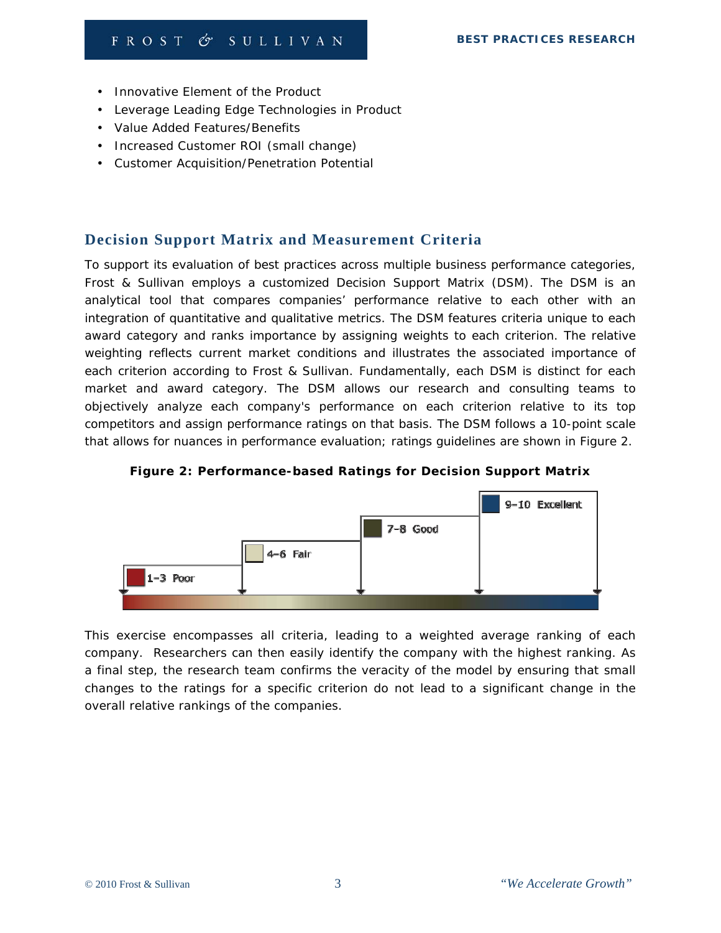- Innovative Element of the Product
- Leverage Leading Edge Technologies in Product
- Value Added Features/Benefits
- Increased Customer ROI (small change)
- Customer Acquisition/Penetration Potential

## **Decision Support Matrix and Measurement Criteria**

To support its evaluation of best practices across multiple business performance categories, Frost & Sullivan employs a customized Decision Support Matrix (DSM). The DSM is an analytical tool that compares companies' performance relative to each other with an integration of quantitative and qualitative metrics. The DSM features criteria unique to each award category and ranks importance by assigning weights to each criterion. The relative weighting reflects current market conditions and illustrates the associated importance of each criterion according to Frost & Sullivan. Fundamentally, each DSM is distinct for each market and award category. The DSM allows our research and consulting teams to objectively analyze each company's performance on each criterion relative to its top competitors and assign performance ratings on that basis. The DSM follows a 10-point scale that allows for nuances in performance evaluation; ratings guidelines are shown in Figure 2.



**Figure 2: Performance-based Ratings for Decision Support Matrix** 

This exercise encompasses all criteria, leading to a weighted average ranking of each company. Researchers can then easily identify the company with the highest ranking. As a final step, the research team confirms the veracity of the model by ensuring that small changes to the ratings for a specific criterion do not lead to a significant change in the overall relative rankings of the companies.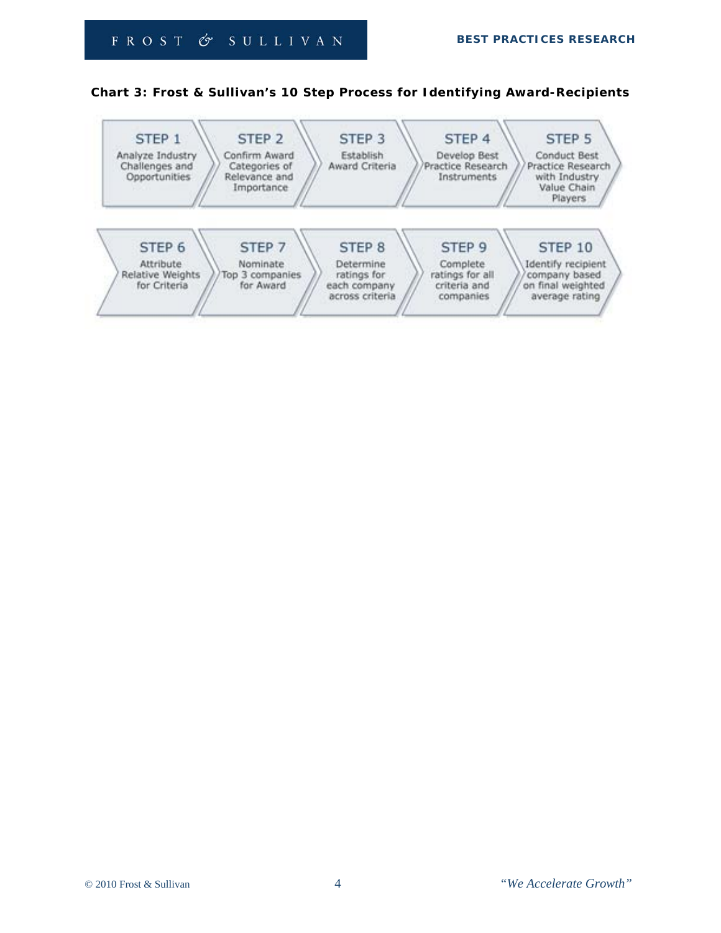### **Chart 3: Frost & Sullivan's 10 Step Process for Identifying Award-Recipients**

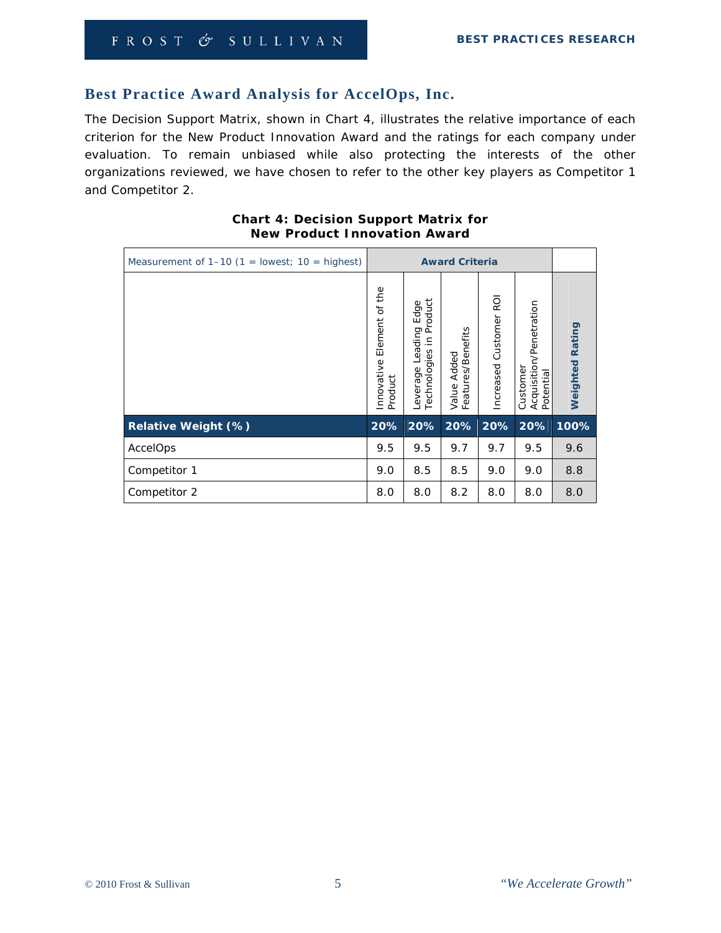# **Best Practice Award Analysis for AccelOps, Inc.**

The Decision Support Matrix, shown in Chart 4, illustrates the relative importance of each criterion for the New Product Innovation Award and the ratings for each company under evaluation. To remain unbiased while also protecting the interests of the other organizations reviewed, we have chosen to refer to the other key players as Competitor 1 and Competitor 2.

| Measurement of $1-10$ (1 = lowest; $10 =$ highest) | <b>Award Criteria</b>                   |                                                                      |                                        |                                   |                                                  |                    |
|----------------------------------------------------|-----------------------------------------|----------------------------------------------------------------------|----------------------------------------|-----------------------------------|--------------------------------------------------|--------------------|
|                                                    | Element of the<br>Innovative<br>Product | Product<br>Edge<br>ding<br>Ξ.<br>ēā<br>Technologies<br>⊇<br>Leverage | atures/Benefits<br>Added<br>Value<br>Ë | <b>D</b><br>Customer<br>Increased | Acquisition/Penetration<br>Potential<br>Customer | Rating<br>Weighted |
| Relative Weight (%)                                | 20%                                     | 20%                                                                  | 20%                                    | 20%                               | 20%                                              | 100%               |
| AccelOps                                           | 9.5                                     | 9.5                                                                  | 9.7                                    | 9.7                               | 9.5                                              | 9.6                |
| Competitor 1                                       | 9.0                                     | 8.5                                                                  | 8.5                                    | 9.0                               | 9.0                                              | 8.8                |
| Competitor 2                                       | 8.0                                     | 8.0                                                                  | 8.2                                    | 8.0                               | 8.0                                              | 8.0                |

### **Chart 4: Decision Support Matrix for New Product Innovation Award**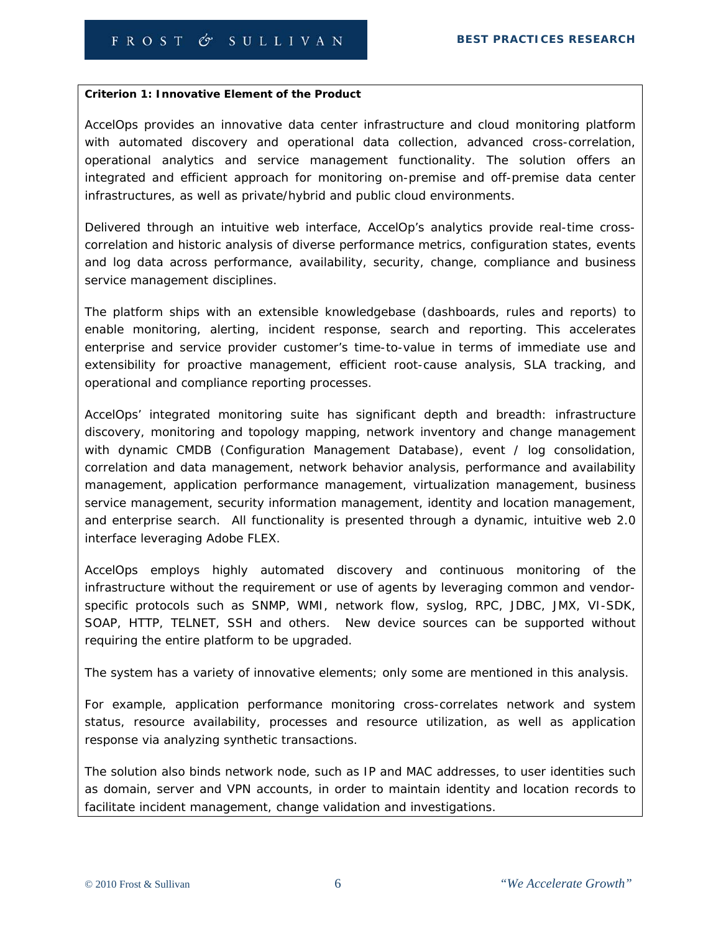#### **Criterion 1: Innovative Element of the Product**

AccelOps provides an innovative data center infrastructure and cloud monitoring platform with automated discovery and operational data collection, advanced cross-correlation, operational analytics and service management functionality. The solution offers an integrated and efficient approach for monitoring on-premise and off-premise data center infrastructures, as well as private/hybrid and public cloud environments.

Delivered through an intuitive web interface, AccelOp's analytics provide real-time crosscorrelation and historic analysis of diverse performance metrics, configuration states, events and log data across performance, availability, security, change, compliance and business service management disciplines.

The platform ships with an extensible knowledgebase (dashboards, rules and reports) to enable monitoring, alerting, incident response, search and reporting. This accelerates enterprise and service provider customer's time-to-value in terms of immediate use and extensibility for proactive management, efficient root-cause analysis, SLA tracking, and operational and compliance reporting processes.

AccelOps' integrated monitoring suite has significant depth and breadth: infrastructure discovery, monitoring and topology mapping, network inventory and change management with dynamic CMDB (Configuration Management Database), event / log consolidation, correlation and data management, network behavior analysis, performance and availability management, application performance management, virtualization management, business service management, security information management, identity and location management, and enterprise search. All functionality is presented through a dynamic, intuitive web 2.0 interface leveraging Adobe FLEX.

AccelOps employs highly automated discovery and continuous monitoring of the infrastructure without the requirement or use of agents by leveraging common and vendorspecific protocols such as SNMP, WMI, network flow, syslog, RPC, JDBC, JMX, VI-SDK, SOAP, HTTP, TELNET, SSH and others. New device sources can be supported without requiring the entire platform to be upgraded.

The system has a variety of innovative elements; only some are mentioned in this analysis.

For example, application performance monitoring cross-correlates network and system status, resource availability, processes and resource utilization, as well as application response via analyzing synthetic transactions.

The solution also binds network node, such as IP and MAC addresses, to user identities such as domain, server and VPN accounts, in order to maintain identity and location records to facilitate incident management, change validation and investigations.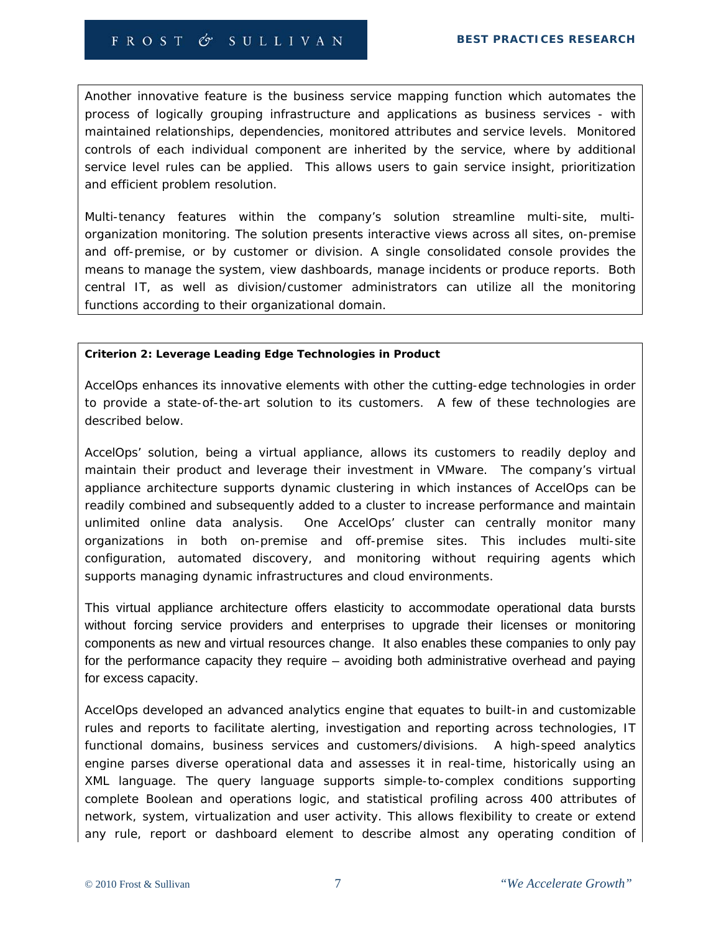Another innovative feature is the business service mapping function which automates the process of logically grouping infrastructure and applications as business services - with maintained relationships, dependencies, monitored attributes and service levels. Monitored controls of each individual component are inherited by the service, where by additional service level rules can be applied. This allows users to gain service insight, prioritization and efficient problem resolution.

Multi-tenancy features within the company's solution streamline multi-site, multiorganization monitoring. The solution presents interactive views across all sites, on-premise and off-premise, or by customer or division. A single consolidated console provides the means to manage the system, view dashboards, manage incidents or produce reports. Both central IT, as well as division/customer administrators can utilize all the monitoring functions according to their organizational domain.

### **Criterion 2: Leverage Leading Edge Technologies in Product**

AccelOps enhances its innovative elements with other the cutting-edge technologies in order to provide a state-of-the-art solution to its customers. A few of these technologies are described below.

AccelOps' solution, being a virtual appliance, allows its customers to readily deploy and maintain their product and leverage their investment in VMware. The company's virtual appliance architecture supports dynamic clustering in which instances of AccelOps can be readily combined and subsequently added to a cluster to increase performance and maintain unlimited online data analysis. One AccelOps' cluster can centrally monitor many organizations in both on-premise and off-premise sites. This includes multi-site configuration, automated discovery, and monitoring without requiring agents which supports managing dynamic infrastructures and cloud environments.

This virtual appliance architecture offers elasticity to accommodate operational data bursts without forcing service providers and enterprises to upgrade their licenses or monitoring components as new and virtual resources change. It also enables these companies to only pay for the performance capacity they require – avoiding both administrative overhead and paying for excess capacity.

AccelOps developed an advanced analytics engine that equates to built-in and customizable rules and reports to facilitate alerting, investigation and reporting across technologies, IT functional domains, business services and customers/divisions. A high-speed analytics engine parses diverse operational data and assesses it in real-time, historically using an XML language. The query language supports simple-to-complex conditions supporting complete Boolean and operations logic, and statistical profiling across 400 attributes of network, system, virtualization and user activity. This allows flexibility to create or extend any rule, report or dashboard element to describe almost any operating condition of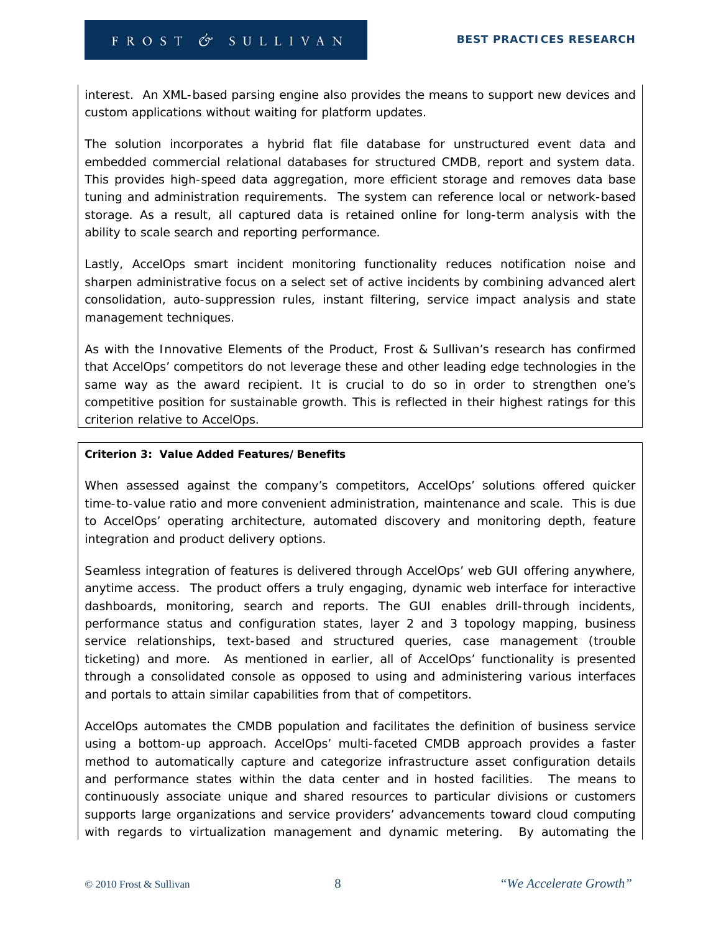interest. An XML-based parsing engine also provides the means to support new devices and custom applications without waiting for platform updates.

The solution incorporates a hybrid flat file database for unstructured event data and embedded commercial relational databases for structured CMDB, report and system data. This provides high-speed data aggregation, more efficient storage and removes data base tuning and administration requirements. The system can reference local or network-based storage. As a result, all captured data is retained online for long-term analysis with the ability to scale search and reporting performance.

Lastly, AccelOps smart incident monitoring functionality reduces notification noise and sharpen administrative focus on a select set of active incidents by combining advanced alert consolidation, auto-suppression rules, instant filtering, service impact analysis and state management techniques.

As with the Innovative Elements of the Product, Frost & Sullivan's research has confirmed that AccelOps' competitors do not leverage these and other leading edge technologies in the same way as the award recipient. It is crucial to do so in order to strengthen one's competitive position for sustainable growth. This is reflected in their highest ratings for this criterion relative to AccelOps.

#### **Criterion 3: Value Added Features/Benefits**

When assessed against the company's competitors, AccelOps' solutions offered quicker time-to-value ratio and more convenient administration, maintenance and scale. This is due to AccelOps' operating architecture, automated discovery and monitoring depth, feature integration and product delivery options.

Seamless integration of features is delivered through AccelOps' web GUI offering anywhere, anytime access. The product offers a truly engaging, dynamic web interface for interactive dashboards, monitoring, search and reports. The GUI enables drill-through incidents, performance status and configuration states, layer 2 and 3 topology mapping, business service relationships, text-based and structured queries, case management (trouble ticketing) and more. As mentioned in earlier, all of AccelOps' functionality is presented through a consolidated console as opposed to using and administering various interfaces and portals to attain similar capabilities from that of competitors.

AccelOps automates the CMDB population and facilitates the definition of business service using a bottom-up approach. AccelOps' multi-faceted CMDB approach provides a faster method to automatically capture and categorize infrastructure asset configuration details and performance states within the data center and in hosted facilities. The means to continuously associate unique and shared resources to particular divisions or customers supports large organizations and service providers' advancements toward cloud computing with regards to virtualization management and dynamic metering. By automating the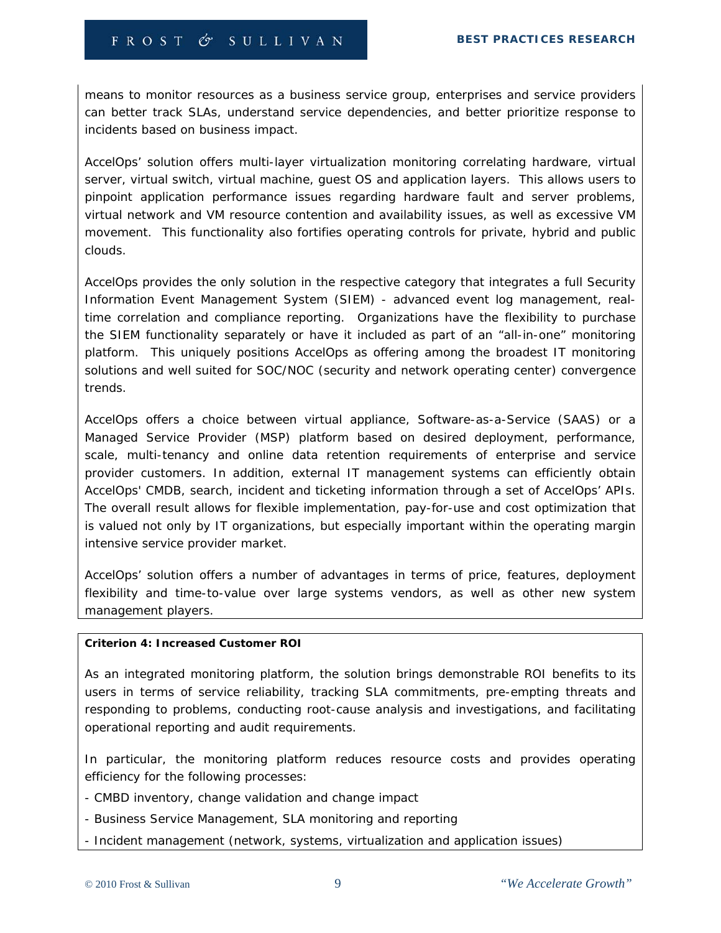means to monitor resources as a business service group, enterprises and service providers can better track SLAs, understand service dependencies, and better prioritize response to incidents based on business impact.

AccelOps' solution offers multi-layer virtualization monitoring correlating hardware, virtual server, virtual switch, virtual machine, guest OS and application layers. This allows users to pinpoint application performance issues regarding hardware fault and server problems, virtual network and VM resource contention and availability issues, as well as excessive VM movement. This functionality also fortifies operating controls for private, hybrid and public clouds.

AccelOps provides the only solution in the respective category that integrates a full Security Information Event Management System (SIEM) - advanced event log management, realtime correlation and compliance reporting. Organizations have the flexibility to purchase the SIEM functionality separately or have it included as part of an "all-in-one" monitoring platform. This uniquely positions AccelOps as offering among the broadest IT monitoring solutions and well suited for SOC/NOC (security and network operating center) convergence trends.

AccelOps offers a choice between virtual appliance, Software-as-a-Service (SAAS) or a Managed Service Provider (MSP) platform based on desired deployment, performance, scale, multi-tenancy and online data retention requirements of enterprise and service provider customers. In addition, external IT management systems can efficiently obtain AccelOps' CMDB, search, incident and ticketing information through a set of AccelOps' APIs. The overall result allows for flexible implementation, pay-for-use and cost optimization that is valued not only by IT organizations, but especially important within the operating margin intensive service provider market.

AccelOps' solution offers a number of advantages in terms of price, features, deployment flexibility and time-to-value over large systems vendors, as well as other new system management players.

#### **Criterion 4: Increased Customer ROI**

As an integrated monitoring platform, the solution brings demonstrable ROI benefits to its users in terms of service reliability, tracking SLA commitments, pre-empting threats and responding to problems, conducting root-cause analysis and investigations, and facilitating operational reporting and audit requirements.

In particular, the monitoring platform reduces resource costs and provides operating efficiency for the following processes:

- CMBD inventory, change validation and change impact
- Business Service Management, SLA monitoring and reporting
- Incident management (network, systems, virtualization and application issues)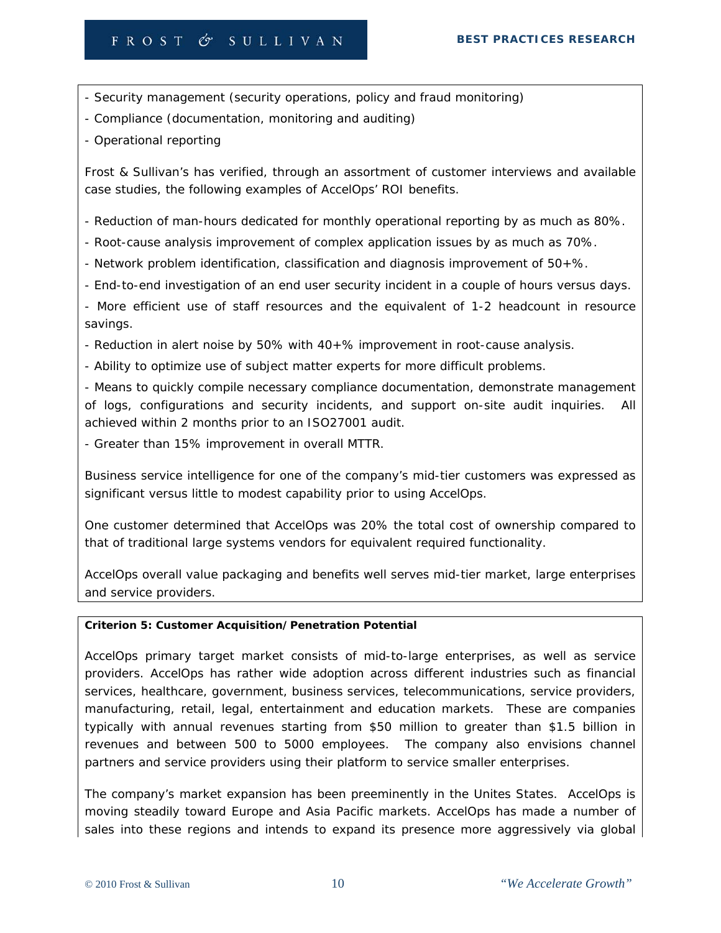- Security management (security operations, policy and fraud monitoring)
- Compliance (documentation, monitoring and auditing)
- Operational reporting

Frost & Sullivan's has verified, through an assortment of customer interviews and available case studies, the following examples of AccelOps' ROI benefits.

- Reduction of man-hours dedicated for monthly operational reporting by as much as 80%.

- Root-cause analysis improvement of complex application issues by as much as 70%.
- Network problem identification, classification and diagnosis improvement of 50+%.
- End-to-end investigation of an end user security incident in a couple of hours versus days.
- More efficient use of staff resources and the equivalent of 1-2 headcount in resource savings.
- Reduction in alert noise by 50% with 40+% improvement in root-cause analysis.
- Ability to optimize use of subject matter experts for more difficult problems.

- Means to quickly compile necessary compliance documentation, demonstrate management of logs, configurations and security incidents, and support on-site audit inquiries. All achieved within 2 months prior to an ISO27001 audit.

- Greater than 15% improvement in overall MTTR.

Business service intelligence for one of the company's mid-tier customers was expressed as significant versus little to modest capability prior to using AccelOps.

One customer determined that AccelOps was 20% the total cost of ownership compared to that of traditional large systems vendors for equivalent required functionality.

AccelOps overall value packaging and benefits well serves mid-tier market, large enterprises and service providers.

### **Criterion 5: Customer Acquisition/Penetration Potential**

AccelOps primary target market consists of mid-to-large enterprises, as well as service providers. AccelOps has rather wide adoption across different industries such as financial services, healthcare, government, business services, telecommunications, service providers, manufacturing, retail, legal, entertainment and education markets. These are companies typically with annual revenues starting from \$50 million to greater than \$1.5 billion in revenues and between 500 to 5000 employees. The company also envisions channel partners and service providers using their platform to service smaller enterprises.

The company's market expansion has been preeminently in the Unites States. AccelOps is moving steadily toward Europe and Asia Pacific markets. AccelOps has made a number of sales into these regions and intends to expand its presence more aggressively via global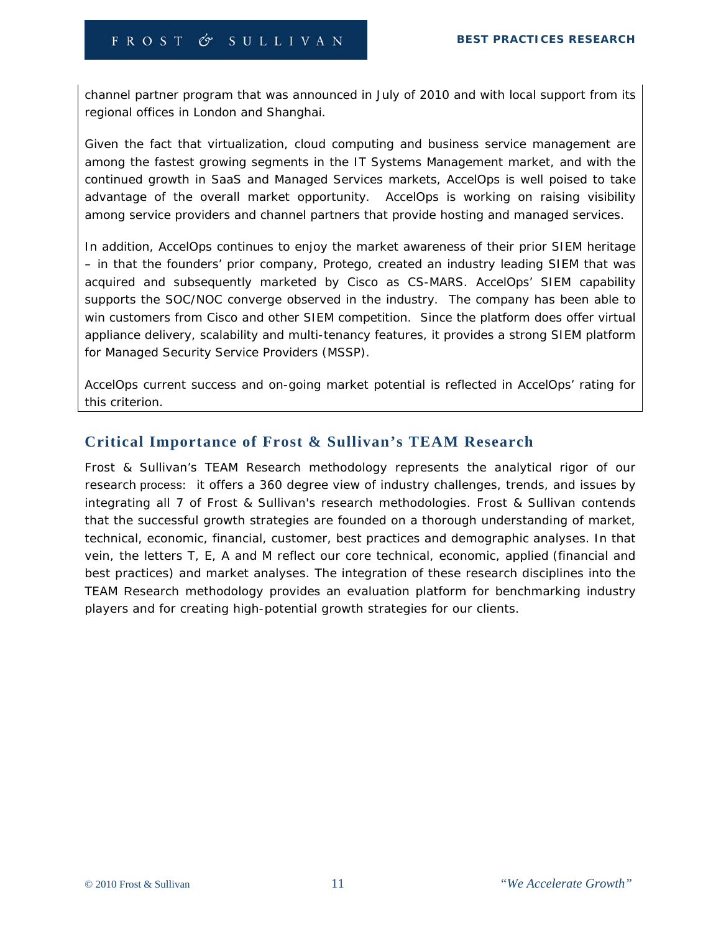channel partner program that was announced in July of 2010 and with local support from its regional offices in London and Shanghai.

Given the fact that virtualization, cloud computing and business service management are among the fastest growing segments in the IT Systems Management market, and with the continued growth in SaaS and Managed Services markets, AccelOps is well poised to take advantage of the overall market opportunity. AccelOps is working on raising visibility among service providers and channel partners that provide hosting and managed services.

In addition, AccelOps continues to enjoy the market awareness of their prior SIEM heritage – in that the founders' prior company, Protego, created an industry leading SIEM that was acquired and subsequently marketed by Cisco as CS-MARS. AccelOps' SIEM capability supports the SOC/NOC converge observed in the industry. The company has been able to win customers from Cisco and other SIEM competition. Since the platform does offer virtual appliance delivery, scalability and multi-tenancy features, it provides a strong SIEM platform for Managed Security Service Providers (MSSP).

AccelOps current success and on-going market potential is reflected in AccelOps' rating for this criterion.

## **Critical Importance of Frost & Sullivan's TEAM Research**

Frost & Sullivan's TEAM Research methodology represents the analytical rigor of our research process: it offers a 360 degree view of industry challenges, trends, and issues by integrating all 7 of Frost & Sullivan's research methodologies. Frost & Sullivan contends that the successful growth strategies are founded on a thorough understanding of market, technical, economic, financial, customer, best practices and demographic analyses. In that vein, the letters T, E, A and M reflect our core technical, economic, applied (financial and best practices) and market analyses. The integration of these research disciplines into the TEAM Research methodology provides an evaluation platform for benchmarking industry players and for creating high-potential growth strategies for our clients.